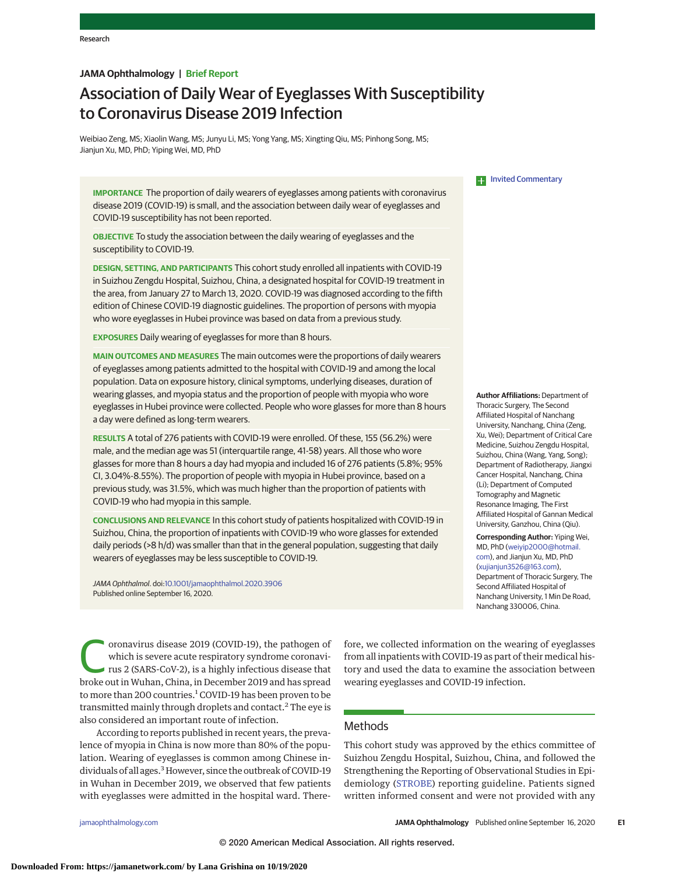# **JAMA Ophthalmology | Brief Report**

# Association of Daily Wear of Eyeglasses With Susceptibility to Coronavirus Disease 2019 Infection

Weibiao Zeng, MS; Xiaolin Wang, MS; Junyu Li, MS; Yong Yang, MS; Xingting Qiu, MS; Pinhong Song, MS; Jianjun Xu, MD, PhD; Yiping Wei, MD, PhD

**IMPORTANCE** The proportion of daily wearers of eyeglasses among patients with coronavirus disease 2019 (COVID-19) is small, and the association between daily wear of eyeglasses and COVID-19 susceptibility has not been reported.

**OBJECTIVE** To study the association between the daily wearing of eyeglasses and the susceptibility to COVID-19.

**DESIGN, SETTING, AND PARTICIPANTS** This cohort study enrolled all inpatients with COVID-19 in Suizhou Zengdu Hospital, Suizhou, China, a designated hospital for COVID-19 treatment in the area, from January 27 to March 13, 2020. COVID-19 was diagnosed according to the fifth edition of Chinese COVID-19 diagnostic guidelines. The proportion of persons with myopia who wore eyeglasses in Hubei province was based on data from a previous study.

**EXPOSURES** Daily wearing of eyeglasses for more than 8 hours.

**MAIN OUTCOMES AND MEASURES** The main outcomes were the proportions of daily wearers of eyeglasses among patients admitted to the hospital with COVID-19 and among the local population. Data on exposure history, clinical symptoms, underlying diseases, duration of wearing glasses, and myopia status and the proportion of people with myopia who wore eyeglasses in Hubei province were collected. People who wore glasses for more than 8 hours a day were defined as long-term wearers.

**RESULTS** A total of 276 patients with COVID-19 were enrolled. Of these, 155 (56.2%) were male, and the median age was 51 (interquartile range, 41-58) years. All those who wore glasses for more than 8 hours a day had myopia and included 16 of 276 patients (5.8%; 95% CI, 3.04%-8.55%). The proportion of people with myopia in Hubei province, based on a previous study, was 31.5%, which was much higher than the proportion of patients with COVID-19 who had myopia in this sample.

**CONCLUSIONS AND RELEVANCE** In this cohort study of patients hospitalized with COVID-19 in Suizhou, China, the proportion of inpatients with COVID-19 who wore glasses for extended daily periods (>8 h/d) was smaller than that in the general population, suggesting that daily wearers of eyeglasses may be less susceptible to COVID-19.

JAMA Ophthalmol. doi[:10.1001/jamaophthalmol.2020.3906](https://jamanetwork.com/journals/jama/fullarticle/10.1001/jamaophthalmol.2020.3906?utm_campaign=articlePDF%26utm_medium=articlePDFlink%26utm_source=articlePDF%26utm_content=jamaophthalmol.2020.3906) Published online September 16, 2020.

> fore, we collected information on the wearing of eyeglasses from all inpatients with COVID-19 as part of their medical history and used the data to examine the association between wearing eyeglasses and COVID-19 infection.

oronavirus disease 2019 (COVID-19), the pathogen of which is severe acute respiratory syndrome coronavirus 2 (SARS-CoV-2), is a highly infectious disease that broke out in Wuhan, China, in December 2019 and has spread to more than 200 countries.<sup>1</sup> COVID-19 has been proven to be transmitted mainly through droplets and contact.<sup>2</sup> The eye is also considered an important route of infection.

According to reports published in recent years, the prevalence of myopia in China is now more than 80% of the population. Wearing of eyeglasses is common among Chinese individuals of all ages.<sup>3</sup> However, since the outbreak of COVID-19 in Wuhan in December 2019, we observed that few patients with eyeglasses were admitted in the hospital ward. ThereMethods

This cohort study was approved by the ethics committee of Suizhou Zengdu Hospital, Suizhou, China, and followed the Strengthening the Reporting of Observational Studies in Epidemiology [\(STROBE\)](http://www.equator-network.org/reporting-guidelines/strobe/) reporting guideline. Patients signed written informed consent and were not provided with any

**EXECUTE:** [Invited Commentary](https://jamanetwork.com/journals/jama/fullarticle/10.1001/jamaophthalmol.2020.3909?utm_campaign=articlePDF%26utm_medium=articlePDFlink%26utm_source=articlePDF%26utm_content=jamaophthalmol.2020.3906)

**Author Affiliations:** Department of Thoracic Surgery, The Second Affiliated Hospital of Nanchang University, Nanchang, China (Zeng, Xu, Wei); Department of Critical Care Medicine, Suizhou Zengdu Hospital, Suizhou, China (Wang, Yang, Song); Department of Radiotherapy, Jiangxi Cancer Hospital, Nanchang, China (Li); Department of Computed Tomography and Magnetic Resonance Imaging, The First Affiliated Hospital of Gannan Medical University, Ganzhou, China (Qiu).

**Corresponding Author:** Yiping Wei, MD, PhD [\(weiyip2000@hotmail.](mailto:weiyip2000@hotmail.com) [com\)](mailto:weiyip2000@hotmail.com), and Jianjun Xu, MD, PhD [\(xujianjun3526@163.com\)](mailto:xujianjun3526@163.com), Department of Thoracic Surgery, The Second Affiliated Hospital of Nanchang University, 1 Min De Road, Nanchang 330006, China.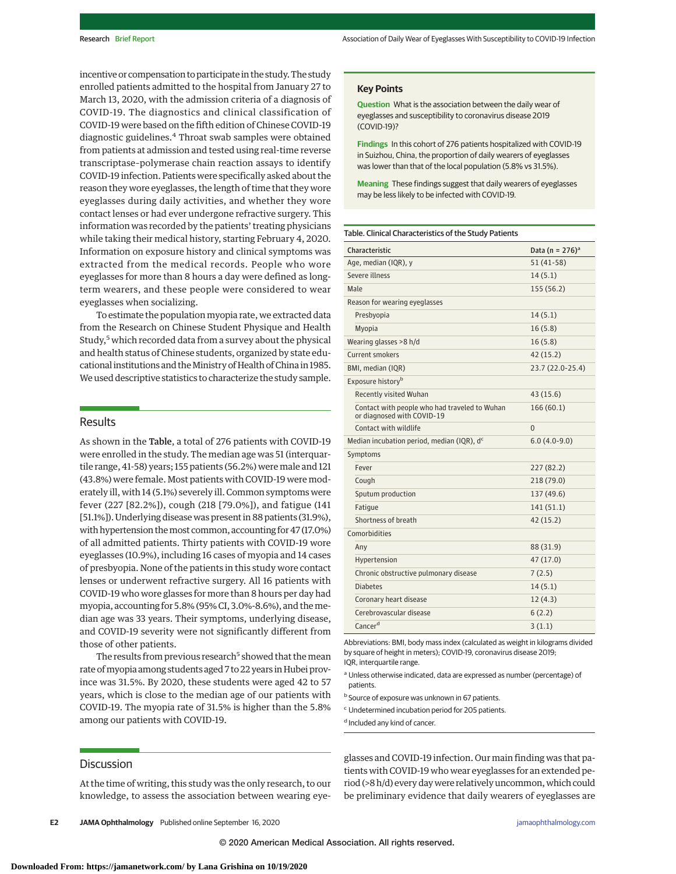incentive or compensation to participate in the study. The study enrolled patients admitted to the hospital from January 27 to March 13, 2020, with the admission criteria of a diagnosis of COVID-19. The diagnostics and clinical classification of COVID-19 were based on the fifth edition of Chinese COVID-19 diagnostic guidelines.<sup>4</sup> Throat swab samples were obtained from patients at admission and tested using real-time reverse transcriptase–polymerase chain reaction assays to identify COVID-19 infection. Patients were specifically asked about the reason they wore eyeglasses, the length of time that they wore eyeglasses during daily activities, and whether they wore contact lenses or had ever undergone refractive surgery. This information was recorded by the patients' treating physicians while taking their medical history, starting February 4, 2020. Information on exposure history and clinical symptoms was extracted from the medical records. People who wore eyeglasses for more than 8 hours a day were defined as longterm wearers, and these people were considered to wear eyeglasses when socializing.

To estimate the population myopia rate, we extracted data from the Research on Chinese Student Physique and Health Study,<sup>5</sup> which recorded data from a survey about the physical and health status of Chinese students, organized by state educational institutions and the Ministry of Health of China in 1985. We used descriptive statistics to characterize the study sample.

## Results

As shown in the Table, a total of 276 patients with COVID-19 were enrolled in the study. The median age was 51 (interquartile range, 41-58) years; 155 patients (56.2%) were male and 121 (43.8%) were female. Most patients with COVID-19 were moderately ill, with 14 (5.1%) severely ill. Common symptoms were fever (227 [82.2%]), cough (218 [79.0%]), and fatigue (141 [51.1%]). Underlying disease was present in 88 patients (31.9%), with hypertension themost common, accounting for 47 (17.0%) of all admitted patients. Thirty patients with COVID-19 wore eyeglasses (10.9%), including 16 cases of myopia and 14 cases of presbyopia. None of the patients in this study wore contact lenses or underwent refractive surgery. All 16 patients with COVID-19 who wore glasses for more than 8 hours per day had myopia, accounting for 5.8% (95% CI, 3.0%-8.6%), and themedian age was 33 years. Their symptoms, underlying disease, and COVID-19 severity were not significantly different from those of other patients.

The results from previous research<sup>5</sup> showed that the mean rate ofmyopia among students aged 7 to 22 years in Hubei province was 31.5%. By 2020, these students were aged 42 to 57 years, which is close to the median age of our patients with COVID-19. The myopia rate of 31.5% is higher than the 5.8% among our patients with COVID-19.

# **Discussion**

At the time of writing, this study was the only research, to our knowledge, to assess the association between wearing eye-

**E2 JAMA Ophthalmology** Published online September 16, 2020 **(Reprinted)** in the proposition of the proposition of the proposition of the proposition of the proposition of the proposition of the proposition of the propos

**Question** What is the association between the daily wear of eyeglasses and susceptibility to coronavirus disease 2019 (COVID-19)?

**Findings** In this cohort of 276 patients hospitalized with COVID-19 in Suizhou, China, the proportion of daily wearers of eyeglasses was lower than that of the local population (5.8% vs 31.5%).

**Meaning** These findings suggest that daily wearers of eyeglasses may be less likely to be infected with COVID-19.

#### Table. Clinical Characteristics of the Study Patients

| Characteristic                                                              | Data (n = $276$ ) <sup>a</sup> |
|-----------------------------------------------------------------------------|--------------------------------|
| Age, median (IQR), y                                                        | $51(41-58)$                    |
| <b>Severe illness</b>                                                       | 14(5.1)                        |
| Male                                                                        | 155 (56.2)                     |
| Reason for wearing eyeglasses                                               |                                |
| Presbyopia                                                                  | 14(5.1)                        |
| Myopia                                                                      | 16(5.8)                        |
| Wearing glasses >8 h/d                                                      | 16(5.8)                        |
| <b>Current smokers</b>                                                      | 42 (15.2)                      |
| BMI, median (IQR)                                                           | 23.7 (22.0-25.4)               |
| Exposure history <sup>b</sup>                                               |                                |
| Recently visited Wuhan                                                      | 43(15.6)                       |
| Contact with people who had traveled to Wuhan<br>or diagnosed with COVID-19 | 166(60.1)                      |
| Contact with wildlife                                                       | $\Omega$                       |
| Median incubation period, median (IQR), d <sup>c</sup>                      | $6.0(4.0-9.0)$                 |
| Symptoms                                                                    |                                |
| Fever                                                                       | 227 (82.2)                     |
| Cough                                                                       | 218 (79.0)                     |
| Sputum production                                                           | 137 (49.6)                     |
| Fatique                                                                     | 141 (51.1)                     |
| Shortness of breath                                                         | 42(15.2)                       |
| Comorbidities                                                               |                                |
| Any                                                                         | 88 (31.9)                      |
| Hypertension                                                                | 47 (17.0)                      |
| Chronic obstructive pulmonary disease                                       | 7(2.5)                         |
| <b>Diabetes</b>                                                             | 14(5.1)                        |
| Coronary heart disease                                                      | 12(4.3)                        |
| Cerebrovascular disease                                                     | 6(2.2)                         |
| Cancer <sup>d</sup>                                                         | 3(1.1)                         |

Abbreviations: BMI, body mass index (calculated as weight in kilograms divided by square of height in meters); COVID-19, coronavirus disease 2019; IQR, interquartile range.

a Unless otherwise indicated, data are expressed as number (percentage) of patients.

<sup>b</sup> Source of exposure was unknown in 67 patients.

<sup>c</sup> Undetermined incubation period for 205 patients.

<sup>d</sup> Included any kind of cancer.

glasses and COVID-19 infection. Our main finding was that patients with COVID-19 who wear eyeglasses for an extended period (>8 h/d) every day were relatively uncommon, which could be preliminary evidence that daily wearers of eyeglasses are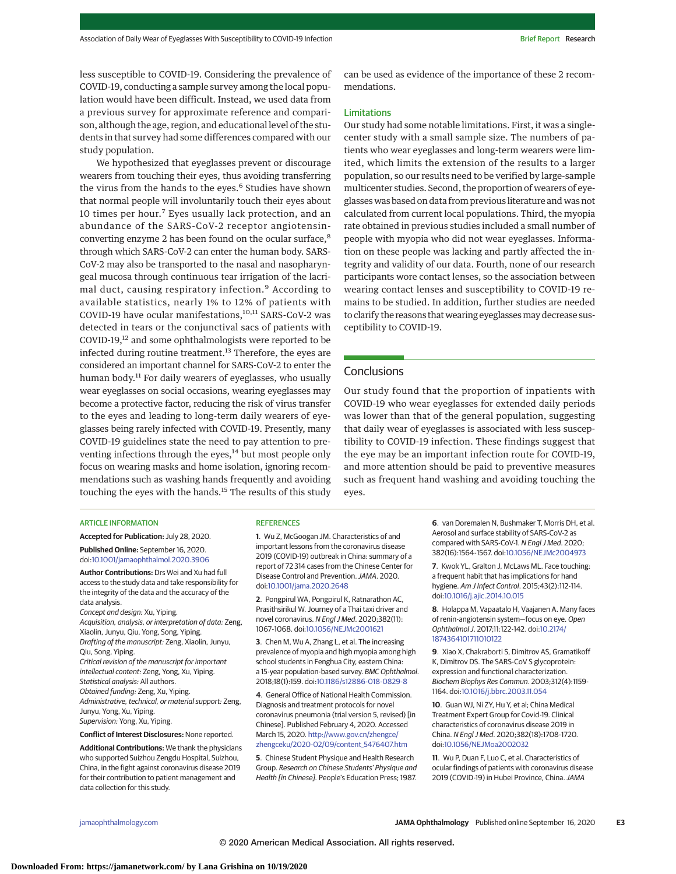less susceptible to COVID-19. Considering the prevalence of COVID-19, conducting a sample survey among the local population would have been difficult. Instead, we used data from a previous survey for approximate reference and comparison, although the age, region, and educational level of the students in that survey had some differences compared with our study population.

We hypothesized that eyeglasses prevent or discourage wearers from touching their eyes, thus avoiding transferring the virus from the hands to the eyes.<sup>6</sup> Studies have shown that normal people will involuntarily touch their eyes about 10 times per hour.<sup>7</sup> Eyes usually lack protection, and an abundance of the SARS-CoV-2 receptor angiotensinconverting enzyme 2 has been found on the ocular surface,8 through which SARS-CoV-2 can enter the human body. SARS-CoV-2 may also be transported to the nasal and nasopharyngeal mucosa through continuous tear irrigation of the lacrimal duct, causing respiratory infection.<sup>9</sup> According to available statistics, nearly 1% to 12% of patients with COVID-19 have ocular manifestations,<sup>10,11</sup> SARS-CoV-2 was detected in tears or the conjunctival sacs of patients with COVID-19,<sup>12</sup> and some ophthalmologists were reported to be infected during routine treatment.<sup>13</sup> Therefore, the eyes are considered an important channel for SARS-CoV-2 to enter the human body.<sup>11</sup> For daily wearers of eyeglasses, who usually wear eyeglasses on social occasions, wearing eyeglasses may become a protective factor, reducing the risk of virus transfer to the eyes and leading to long-term daily wearers of eyeglasses being rarely infected with COVID-19. Presently, many COVID-19 guidelines state the need to pay attention to preventing infections through the eyes,<sup>14</sup> but most people only focus on wearing masks and home isolation, ignoring recommendations such as washing hands frequently and avoiding touching the eyes with the hands.<sup>15</sup> The results of this study

**REFERENCES** 

doi[:10.1001/jama.2020.2648](https://jamanetwork.com/journals/jama/fullarticle/10.1001/jama.2020.2648?utm_campaign=articlePDF%26utm_medium=articlePDFlink%26utm_source=articlePDF%26utm_content=jamaophthalmol.2020.3906)

**1**. Wu Z, McGoogan JM. Characteristics of and important lessons from the coronavirus disease 2019 (COVID-19) outbreak in China: summary of a report of 72 314 cases from the Chinese Center for Disease Control and Prevention.JAMA. 2020.

**2**. Pongpirul WA, Pongpirul K, Ratnarathon AC, Prasithsirikul W. Journey of a Thai taxi driver and novel coronavirus. N Engl J Med. 2020;382(11): 1067-1068. doi[:10.1056/NEJMc2001621](https://dx.doi.org/10.1056/NEJMc2001621) **3**. Chen M, Wu A, Zhang L, et al. The increasing prevalence of myopia and high myopia among high school students in Fenghua City, eastern China: a 15-year population-based survey. BMC Ophthalmol. 2018;18(1):159. doi[:10.1186/s12886-018-0829-8](https://dx.doi.org/10.1186/s12886-018-0829-8) **4**. General Office of National Health Commission. Diagnosis and treatment protocols for novel coronavirus pneumonia (trial version 5, revised) [in Chinese]. Published February 4, 2020. Accessed March 15, 2020. [http://www.gov.cn/zhengce/](http://www.gov.cn/zhengce/zhengceku/2020-02/09/content_5476407.htm) [zhengceku/2020-02/09/content\\_5476407.htm](http://www.gov.cn/zhengce/zhengceku/2020-02/09/content_5476407.htm) **5**. Chinese Student Physique and Health Research Group. Research on Chinese Students' Physique and Health [in Chinese]. People's Education Press; 1987.

#### ARTICLE INFORMATION

**Accepted for Publication:** July 28, 2020. **Published Online:** September 16, 2020. doi[:10.1001/jamaophthalmol.2020.3906](https://jamanetwork.com/journals/jama/fullarticle/10.1001/jamaophthalmol.2020.3906?utm_campaign=articlePDF%26utm_medium=articlePDFlink%26utm_source=articlePDF%26utm_content=jamaophthalmol.2020.3906)

**Author Contributions:** Drs Wei and Xu had full access to the study data and take responsibility for the integrity of the data and the accuracy of the data analysis.

Concept and design: Xu, Yiping. Acquisition, analysis, or interpretation of data: Zeng, Xiaolin, Junyu, Qiu, Yong, Song, Yiping. Drafting of the manuscript: Zeng, Xiaolin, Junyu, Qiu, Song, Yiping. Critical revision of the manuscript for important intellectual content: Zeng, Yong, Xu, Yiping. Statistical analysis: All authors. Obtained funding: Zeng, Xu, Yiping. Administrative, technical, or material support: Zeng,

Junyu, Yong, Xu, Yiping. Supervision: Yong, Xu, Yiping.

**Conflict of Interest Disclosures:** None reported.

**Additional Contributions:** We thank the physicians who supported Suizhou Zengdu Hospital, Suizhou, China, in the fight against coronavirus disease 2019 for their contribution to patient management and data collection for this study.

can be used as evidence of the importance of these 2 recommendations.

#### Limitations

Our study had some notable limitations. First, it was a singlecenter study with a small sample size. The numbers of patients who wear eyeglasses and long-term wearers were limited, which limits the extension of the results to a larger population, so our results need to be verified by large-sample multicenter studies. Second, the proportion of wearers of eyeglasses was based on data from previous literature and was not calculated from current local populations. Third, the myopia rate obtained in previous studies included a small number of people with myopia who did not wear eyeglasses. Information on these people was lacking and partly affected the integrity and validity of our data. Fourth, none of our research participants wore contact lenses, so the association between wearing contact lenses and susceptibility to COVID-19 remains to be studied. In addition, further studies are needed to clarify the reasons that wearing eyeglasses may decrease susceptibility to COVID-19.

### **Conclusions**

Our study found that the proportion of inpatients with COVID-19 who wear eyeglasses for extended daily periods was lower than that of the general population, suggesting that daily wear of eyeglasses is associated with less susceptibility to COVID-19 infection. These findings suggest that the eye may be an important infection route for COVID-19, and more attention should be paid to preventive measures such as frequent hand washing and avoiding touching the eyes.

> **6**. van Doremalen N, Bushmaker T, Morris DH, et al. Aerosol and surface stability of SARS-CoV-2 as compared with SARS-CoV-1. N Engl J Med. 2020; 382(16):1564-1567. doi[:10.1056/NEJMc2004973](https://dx.doi.org/10.1056/NEJMc2004973)

**7**. Kwok YL, Gralton J, McLaws ML. Face touching: a frequent habit that has implications for hand hygiene. Am J Infect Control. 2015;43(2):112-114. doi[:10.1016/j.ajic.2014.10.015](https://dx.doi.org/10.1016/j.ajic.2014.10.015)

**8**. Holappa M, Vapaatalo H, Vaajanen A. Many faces of renin-angiotensin system—focus on eye. Open Ophthalmol J. 2017;11:122-142. doi[:10.2174/](https://dx.doi.org/10.2174/1874364101711010122) [1874364101711010122](https://dx.doi.org/10.2174/1874364101711010122)

**9**. Xiao X, Chakraborti S, Dimitrov AS, Gramatikoff K, Dimitrov DS. The SARS-CoV S glycoprotein: expression and functional characterization. Biochem Biophys Res Commun. 2003;312(4):1159- 1164. doi[:10.1016/j.bbrc.2003.11.054](https://dx.doi.org/10.1016/j.bbrc.2003.11.054)

**10**. Guan WJ, Ni ZY, Hu Y, et al; China Medical Treatment Expert Group for Covid-19. Clinical characteristics of coronavirus disease 2019 in China. N Engl J Med. 2020;382(18):1708-1720. doi[:10.1056/NEJMoa2002032](https://dx.doi.org/10.1056/NEJMoa2002032)

**11**. Wu P, Duan F, Luo C, et al. Characteristics of ocular findings of patients with coronavirus disease 2019 (COVID-19) in Hubei Province, China. JAMA